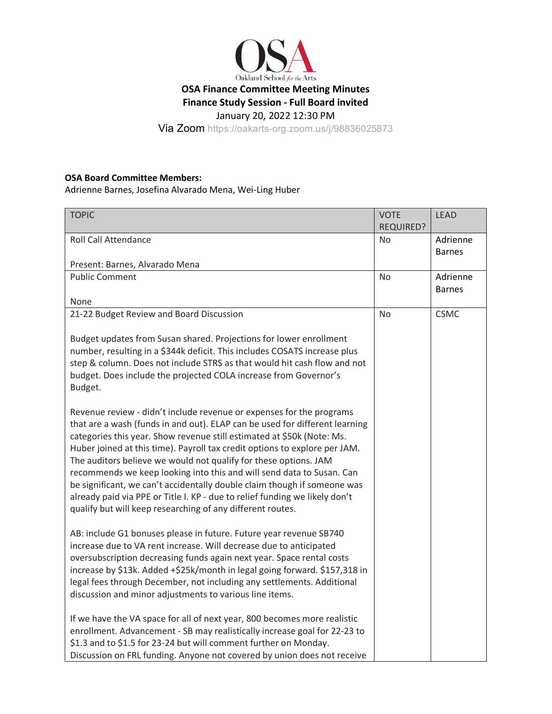

Via Zoom https://oakarts-org.zoom.us/j/98836025873

## **OSA Board Committee Members:**

Adrienne Barnes, Josefina Alvarado Mena, Wei-Ling Huber

| <b>TOPIC</b>                                                                                                                                                                                                                                                                                                                                                                                                                                                                                                                                                                                                                                                                      | <b>VOTE</b>      | <b>LEAD</b>   |
|-----------------------------------------------------------------------------------------------------------------------------------------------------------------------------------------------------------------------------------------------------------------------------------------------------------------------------------------------------------------------------------------------------------------------------------------------------------------------------------------------------------------------------------------------------------------------------------------------------------------------------------------------------------------------------------|------------------|---------------|
|                                                                                                                                                                                                                                                                                                                                                                                                                                                                                                                                                                                                                                                                                   | <b>REQUIRED?</b> |               |
| <b>Roll Call Attendance</b>                                                                                                                                                                                                                                                                                                                                                                                                                                                                                                                                                                                                                                                       | No               | Adrienne      |
|                                                                                                                                                                                                                                                                                                                                                                                                                                                                                                                                                                                                                                                                                   |                  | <b>Barnes</b> |
| Present: Barnes, Alvarado Mena                                                                                                                                                                                                                                                                                                                                                                                                                                                                                                                                                                                                                                                    |                  |               |
| <b>Public Comment</b>                                                                                                                                                                                                                                                                                                                                                                                                                                                                                                                                                                                                                                                             | No               | Adrienne      |
|                                                                                                                                                                                                                                                                                                                                                                                                                                                                                                                                                                                                                                                                                   |                  | <b>Barnes</b> |
| None                                                                                                                                                                                                                                                                                                                                                                                                                                                                                                                                                                                                                                                                              |                  |               |
| 21-22 Budget Review and Board Discussion                                                                                                                                                                                                                                                                                                                                                                                                                                                                                                                                                                                                                                          | <b>No</b>        | <b>CSMC</b>   |
| Budget updates from Susan shared. Projections for lower enrollment<br>number, resulting in a \$344k deficit. This includes COSATS increase plus<br>step & column. Does not include STRS as that would hit cash flow and not<br>budget. Does include the projected COLA increase from Governor's<br>Budget.                                                                                                                                                                                                                                                                                                                                                                        |                  |               |
| Revenue review - didn't include revenue or expenses for the programs<br>that are a wash (funds in and out). ELAP can be used for different learning<br>categories this year. Show revenue still estimated at \$50k (Note: Ms.<br>Huber joined at this time). Payroll tax credit options to explore per JAM.<br>The auditors believe we would not qualify for these options. JAM<br>recommends we keep looking into this and will send data to Susan. Can<br>be significant, we can't accidentally double claim though if someone was<br>already paid via PPE or Title I. KP - due to relief funding we likely don't<br>qualify but will keep researching of any different routes. |                  |               |
| AB: include G1 bonuses please in future. Future year revenue SB740<br>increase due to VA rent increase. Will decrease due to anticipated<br>oversubscription decreasing funds again next year. Space rental costs<br>increase by \$13k. Added +\$25k/month in legal going forward. \$157,318 in<br>legal fees through December, not including any settlements. Additional<br>discussion and minor adjustments to various line items.                                                                                                                                                                                                                                              |                  |               |
| If we have the VA space for all of next year, 800 becomes more realistic<br>enrollment. Advancement - SB may realistically increase goal for 22-23 to<br>\$1.3 and to \$1.5 for 23-24 but will comment further on Monday.<br>Discussion on FRL funding. Anyone not covered by union does not receive                                                                                                                                                                                                                                                                                                                                                                              |                  |               |